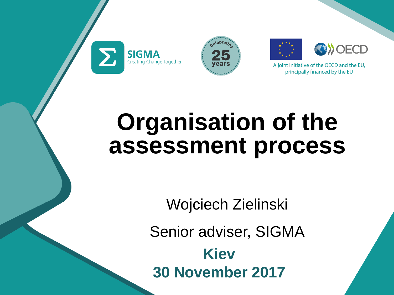







## **Organisation of the assessment process**

Wojciech Zielinski Senior adviser, SIGMA **Kiev 30 November 2017**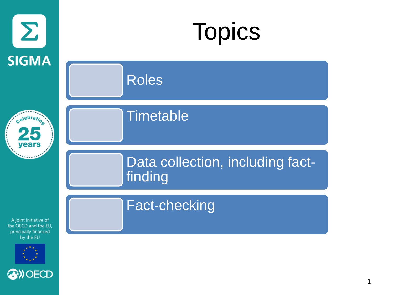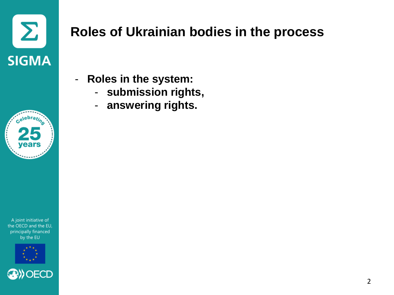



## **Roles of Ukrainian bodies in the process**

- **Roles in the system:** 
	- **submission rights,**
	- **answering rights.**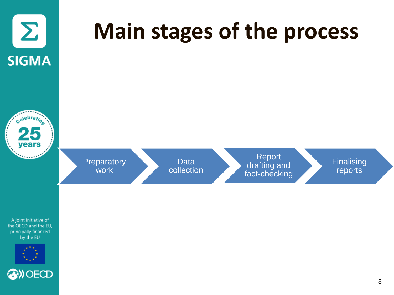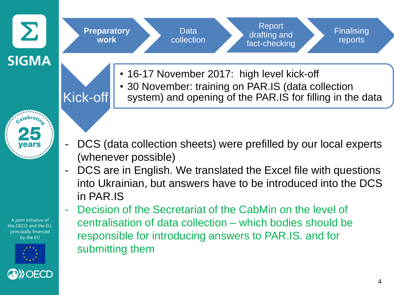

system) and opening of the PAR.IS for filling in the data

- 
- DCS (data collection sheets) were prefilled by our local experts (whenever possible)
	- DCS are in English. We translated the Excel file with questions into Ukrainian, but answers have to be introduced into the DCS in PAR.IS
- A joint initiative of the OECD and the EU. principally financed by the EU



- Decision of the Secretariat of the CabMin on the level of centralisation of data collection – which bodies should be responsible for introducing answers to PAR.IS. and for submitting them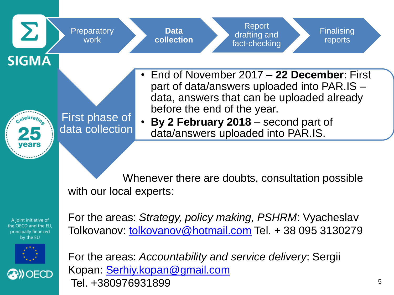



For the areas: *Strategy, policy making, PSHRM*: Vyacheslav Tolkovanov: [tolkovanov@hotmail.com](mailto:tolkovanov@hotmail.com) Tel. + 38 095 3130279

For the areas: *Accountability and service delivery*: Sergii Kopan: [Serhiy.kopan@gmail.com](mailto:Serhiy.kopan@gmail.com) Tel. +380976931899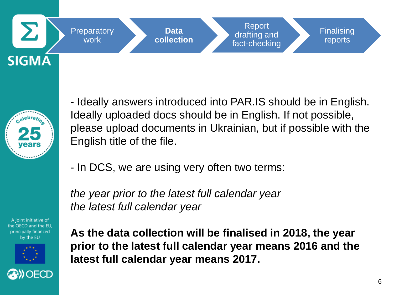





- Ideally answers introduced into PAR.IS should be in English. Ideally uploaded docs should be in English. If not possible, please upload documents in Ukrainian, but if possible with the English title of the file.

- In DCS, we are using very often two terms:

*the year prior to the latest full calendar year the latest full calendar year*

**As the data collection will be finalised in 2018, the year prior to the latest full calendar year means 2016 and the latest full calendar year means 2017.**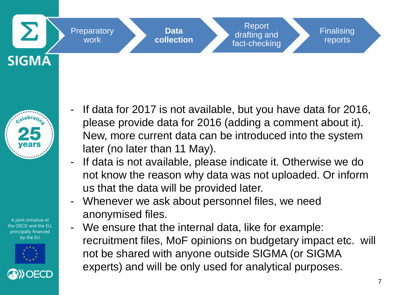





- If data for 2017 is not available, but you have data for 2016, please provide data for 2016 (adding a comment about it). New, more current data can be introduced into the system later (no later than 11 May).
- If data is not available, please indicate it. Otherwise we do not know the reason why data was not uploaded. Or inform us that the data will be provided later.
- Whenever we ask about personnel files, we need anonymised files.
- We ensure that the internal data, like for example: recruitment files, MoF opinions on budgetary impact etc. will not be shared with anyone outside SIGMA (or SIGMA experts) and will be only used for analytical purposes.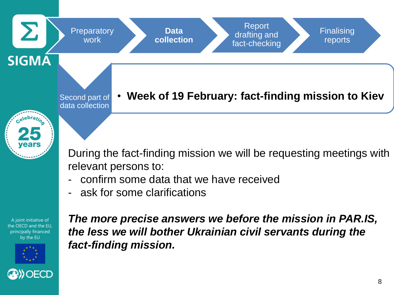

During the fact-finding mission we will be requesting meetings with relevant persons to:

- confirm some data that we have received
- ask for some clarifications

A joint initiative of the OECD and the EU. principally financed by the EU



*The more precise answers we before the mission in PAR.IS, the less we will bother Ukrainian civil servants during the fact-finding mission.*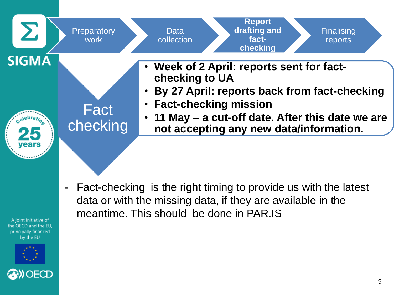



Fact-checking is the right timing to provide us with the latest data or with the missing data, if they are available in the meantime. This should be done in PAR.IS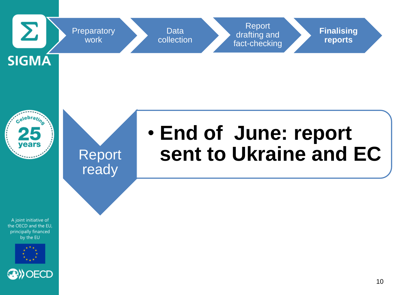